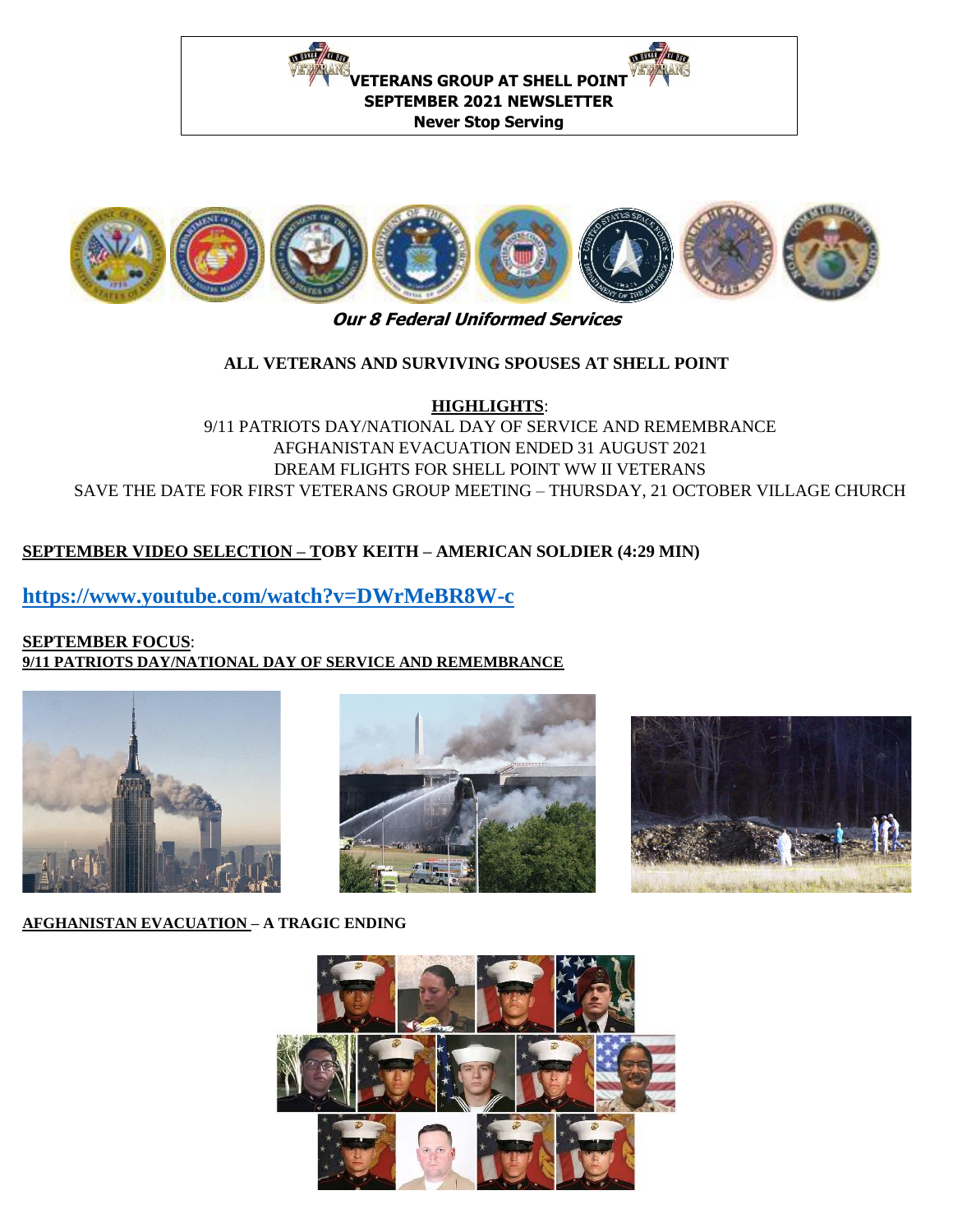



# **Our 8 Federal Uniformed Services**

## **ALL VETERANS AND SURVIVING SPOUSES AT SHELL POINT**

**HIGHLIGHTS**:

9/11 PATRIOTS DAY/NATIONAL DAY OF SERVICE AND REMEMBRANCE AFGHANISTAN EVACUATION ENDED 31 AUGUST 2021 DREAM FLIGHTS FOR SHELL POINT WW II VETERANS SAVE THE DATE FOR FIRST VETERANS GROUP MEETING – THURSDAY, 21 OCTOBER VILLAGE CHURCH

## **SEPTEMBER VIDEO SELECTION – TOBY KEITH – AMERICAN SOLDIER (4:29 MIN)**

## **<https://www.youtube.com/watch?v=DWrMeBR8W-c>**

#### **SEPTEMBER FOCUS**: **9/11 PATRIOTS DAY/NATIONAL DAY OF SERVICE AND REMEMBRANCE**







#### **AFGHANISTAN EVACUATION – A TRAGIC ENDING**